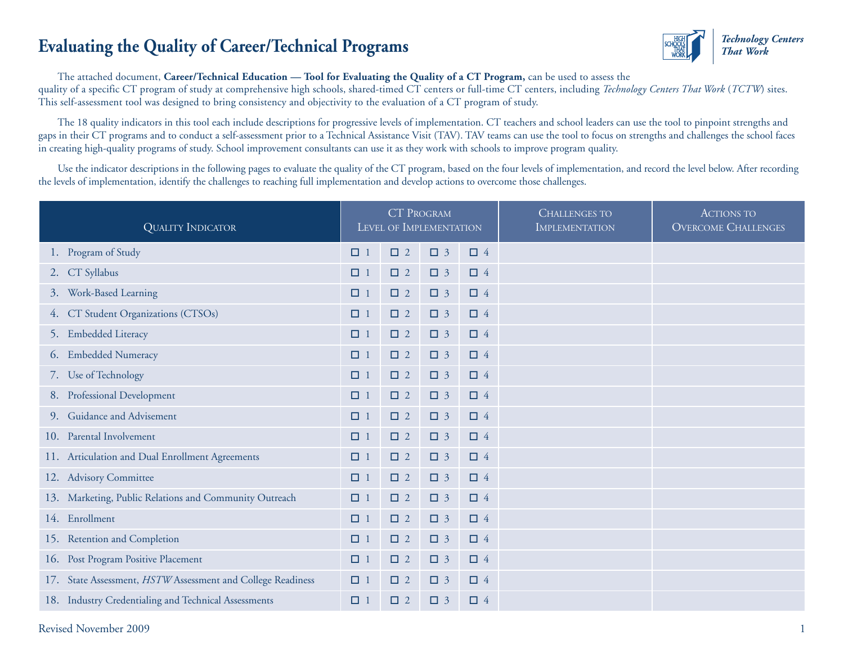#### **Evaluating the Quality of Career/Technical Programs**



The attached document, **Career/Technical Education — Tool for Evaluating the Quality of a CT Program,** can be used to assess the quality of a specific CT program of study at comprehensive high schools, shared-timed CT centers or full-time CT centers, including *Technology Centers That Work* (*TCTW*) sites. This self-assessment tool was designed to bring consistency and objectivity to the evaluation of a CT program of study.

The 18 quality indicators in this tool each include descriptions for progressive levels of implementation. CT teachers and school leaders can use the tool to pinpoint strengths and gaps in their CT programs and to conduct a self-assessment prior to a Technical Assistance Visit (TAV). TAV teams can use the tool to focus on strengths and challenges the school faces in creating high-quality programs of study. School improvement consultants can use it as they work with schools to improve program quality.

Use the indicator descriptions in the following pages to evaluate the quality of the CT program, based on the four levels of implementation, and record the level below. After recording the levels of implementation, identify the challenges to reaching full implementation and develop actions to overcome those challenges.

| <b>QUALITY INDICATOR</b> |                                                             |          | <b>CT PROGRAM</b><br>LEVEL OF IMPLEMENTATION |             |          | <b>CHALLENGES TO</b><br><b>IMPLEMENTATION</b> | <b>ACTIONS TO</b><br><b>OVERCOME CHALLENGES</b> |
|--------------------------|-------------------------------------------------------------|----------|----------------------------------------------|-------------|----------|-----------------------------------------------|-------------------------------------------------|
|                          | 1. Program of Study                                         | $\Box$ 1 | $\Box$ 2                                     | $\square$ 3 | $\Box$ 4 |                                               |                                                 |
| 2.                       | CT Syllabus                                                 | $\Box$ 1 | $\Box$ 2                                     | $\square$ 3 | $\Box$ 4 |                                               |                                                 |
| 3.                       | Work-Based Learning                                         | $\Box$ 1 | $\Box$ 2                                     | $\square$ 3 | $\Box$ 4 |                                               |                                                 |
| 4.                       | CT Student Organizations (CTSOs)                            | $\Box$ 1 | $\Box$ 2                                     | $\square$ 3 | $\Box$ 4 |                                               |                                                 |
|                          | 5. Embedded Literacy                                        | $\Box$ 1 | $\Box$ 2                                     | $\square$ 3 | $\Box$ 4 |                                               |                                                 |
|                          | 6. Embedded Numeracy                                        | $\Box$ 1 | $\Box$ 2                                     | $\square$ 3 | $\Box$ 4 |                                               |                                                 |
|                          | 7. Use of Technology                                        | $\Box$ 1 | $\Box$ 2                                     | $\Box$ 3    | $\Box$ 4 |                                               |                                                 |
|                          | 8. Professional Development                                 | $\Box$ 1 | $\Box$ 2                                     | $\Box$ 3    | $\Box$ 4 |                                               |                                                 |
| 9.                       | Guidance and Advisement                                     | $\Box$ 1 | $\Box$ 2                                     | $\square$ 3 | $\Box$ 4 |                                               |                                                 |
|                          | 10. Parental Involvement                                    | $\Box$ 1 | $\Box$ 2                                     | $\square$ 3 | $\Box$ 4 |                                               |                                                 |
|                          | 11. Articulation and Dual Enrollment Agreements             | $\Box$ 1 | $\Box$ 2                                     | $\square$ 3 | $\Box$ 4 |                                               |                                                 |
|                          | 12. Advisory Committee                                      | $\Box$ 1 | $\Box$ 2                                     | $\Box$ 3    | $\Box$ 4 |                                               |                                                 |
|                          | 13. Marketing, Public Relations and Community Outreach      | $\Box$ 1 | $\Box$ 2                                     | $\Box$ 3    | $\Box$ 4 |                                               |                                                 |
|                          | 14. Enrollment                                              | $\Box$ 1 | $\Box$ 2                                     | $\square$ 3 | $\Box$ 4 |                                               |                                                 |
|                          | 15. Retention and Completion                                | $\Box$ 1 | $\Box$ 2                                     | $\square$ 3 | $\Box$ 4 |                                               |                                                 |
|                          | 16. Post Program Positive Placement                         | $\Box$ 1 | $\Box$ 2                                     | $\square$ 3 | $\Box$ 4 |                                               |                                                 |
|                          | 17. State Assessment, HSTW Assessment and College Readiness | $\Box$ 1 | $\Box$ 2                                     | $\square$ 3 | $\Box$ 4 |                                               |                                                 |
|                          | 18. Industry Credentialing and Technical Assessments        | $\Box$ 1 | $\Box$ 2                                     | $\square$ 3 | $\Box$ 4 |                                               |                                                 |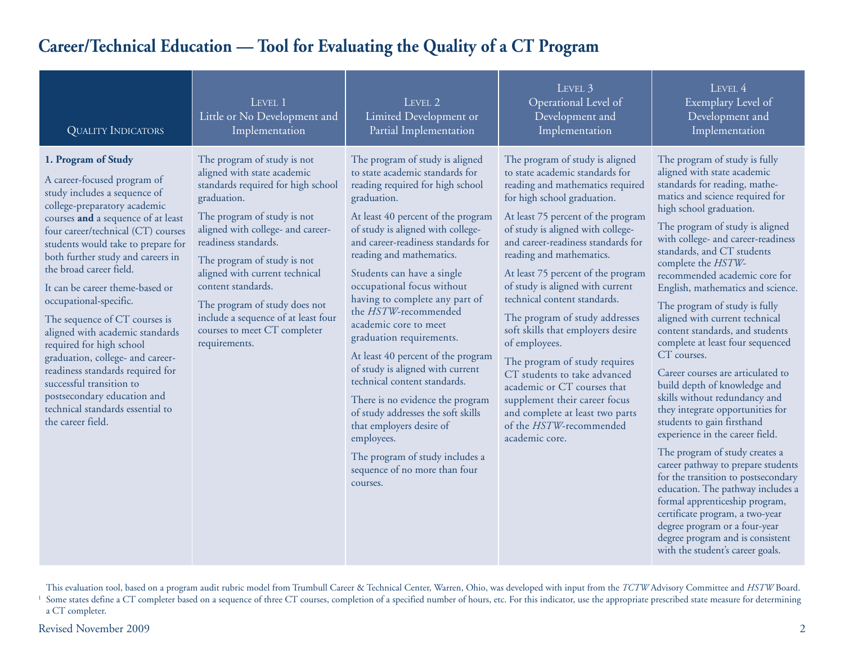| <b>QUALITY INDICATORS</b>                                                                                                                                                                                                                                                                                                                                                                                                                                                                                                                                                                                                                                     | LEVEL 1<br>Little or No Development and<br>Implementation                                                                                                                                                                                                                                                                                                                                                                   | LEVEL 2<br>Limited Development or<br>Partial Implementation                                                                                                                                                                                                                                                                                                                                                                                                                                                                                                                                                                                                                                                                                                 | LEVEL <sub>3</sub><br>Operational Level of<br>Development and<br>Implementation                                                                                                                                                                                                                                                                                                                                                                                                                                                                                                                                                                                                                       | LEVEL 4<br>Exemplary Level of<br>Development and<br>Implementation                                                                                                                                                                                                                                                                                                                                                                                                                                                                                                                                                                                                                                                                                                                                                                                                                                                                                                                                                                                                   |
|---------------------------------------------------------------------------------------------------------------------------------------------------------------------------------------------------------------------------------------------------------------------------------------------------------------------------------------------------------------------------------------------------------------------------------------------------------------------------------------------------------------------------------------------------------------------------------------------------------------------------------------------------------------|-----------------------------------------------------------------------------------------------------------------------------------------------------------------------------------------------------------------------------------------------------------------------------------------------------------------------------------------------------------------------------------------------------------------------------|-------------------------------------------------------------------------------------------------------------------------------------------------------------------------------------------------------------------------------------------------------------------------------------------------------------------------------------------------------------------------------------------------------------------------------------------------------------------------------------------------------------------------------------------------------------------------------------------------------------------------------------------------------------------------------------------------------------------------------------------------------------|-------------------------------------------------------------------------------------------------------------------------------------------------------------------------------------------------------------------------------------------------------------------------------------------------------------------------------------------------------------------------------------------------------------------------------------------------------------------------------------------------------------------------------------------------------------------------------------------------------------------------------------------------------------------------------------------------------|----------------------------------------------------------------------------------------------------------------------------------------------------------------------------------------------------------------------------------------------------------------------------------------------------------------------------------------------------------------------------------------------------------------------------------------------------------------------------------------------------------------------------------------------------------------------------------------------------------------------------------------------------------------------------------------------------------------------------------------------------------------------------------------------------------------------------------------------------------------------------------------------------------------------------------------------------------------------------------------------------------------------------------------------------------------------|
| 1. Program of Study<br>A career-focused program of<br>study includes a sequence of<br>college-preparatory academic<br>courses and a sequence of at least<br>four career/technical (CT) courses<br>students would take to prepare for<br>both further study and careers in<br>the broad career field.<br>It can be career theme-based or<br>occupational-specific.<br>The sequence of CT courses is<br>aligned with academic standards<br>required for high school<br>graduation, college- and career-<br>readiness standards required for<br>successful transition to<br>postsecondary education and<br>technical standards essential to<br>the career field. | The program of study is not<br>aligned with state academic<br>standards required for high school<br>graduation.<br>The program of study is not<br>aligned with college- and career-<br>readiness standards.<br>The program of study is not<br>aligned with current technical<br>content standards.<br>The program of study does not<br>include a sequence of at least four<br>courses to meet CT completer<br>requirements. | The program of study is aligned<br>to state academic standards for<br>reading required for high school<br>graduation.<br>At least 40 percent of the program<br>of study is aligned with college-<br>and career-readiness standards for<br>reading and mathematics.<br>Students can have a single<br>occupational focus without<br>having to complete any part of<br>the HSTW-recommended<br>academic core to meet<br>graduation requirements.<br>At least 40 percent of the program<br>of study is aligned with current<br>technical content standards.<br>There is no evidence the program<br>of study addresses the soft skills<br>that employers desire of<br>employees.<br>The program of study includes a<br>sequence of no more than four<br>courses. | The program of study is aligned<br>to state academic standards for<br>reading and mathematics required<br>for high school graduation.<br>At least 75 percent of the program<br>of study is aligned with college-<br>and career-readiness standards for<br>reading and mathematics.<br>At least 75 percent of the program<br>of study is aligned with current<br>technical content standards.<br>The program of study addresses<br>soft skills that employers desire<br>of employees.<br>The program of study requires<br>CT students to take advanced<br>academic or CT courses that<br>supplement their career focus<br>and complete at least two parts<br>of the HSTW-recommended<br>academic core. | The program of study is fully<br>aligned with state academic<br>standards for reading, mathe-<br>matics and science required for<br>high school graduation.<br>The program of study is aligned<br>with college- and career-readiness<br>standards, and CT students<br>complete the HSTW-<br>recommended academic core for<br>English, mathematics and science.<br>The program of study is fully<br>aligned with current technical<br>content standards, and students<br>complete at least four sequenced<br>CT courses.<br>Career courses are articulated to<br>build depth of knowledge and<br>skills without redundancy and<br>they integrate opportunities for<br>students to gain firsthand<br>experience in the career field.<br>The program of study creates a<br>career pathway to prepare students<br>for the transition to postsecondary<br>education. The pathway includes a<br>formal apprenticeship program,<br>certificate program, a two-year<br>degree program or a four-year<br>degree program and is consistent<br>with the student's career goals. |

This evaluation tool, based on a program audit rubric model from Trumbull Career & Technical Center, Warren, Ohio, was developed with input from the *TCTW* Advisory Committee and *HSTW* Board. <sup>1</sup> Some states define a CT completer based on a sequence of three CT courses, completion of a specified number of hours, etc. For this indicator, use the appropriate prescribed state measure for determining a CT completer.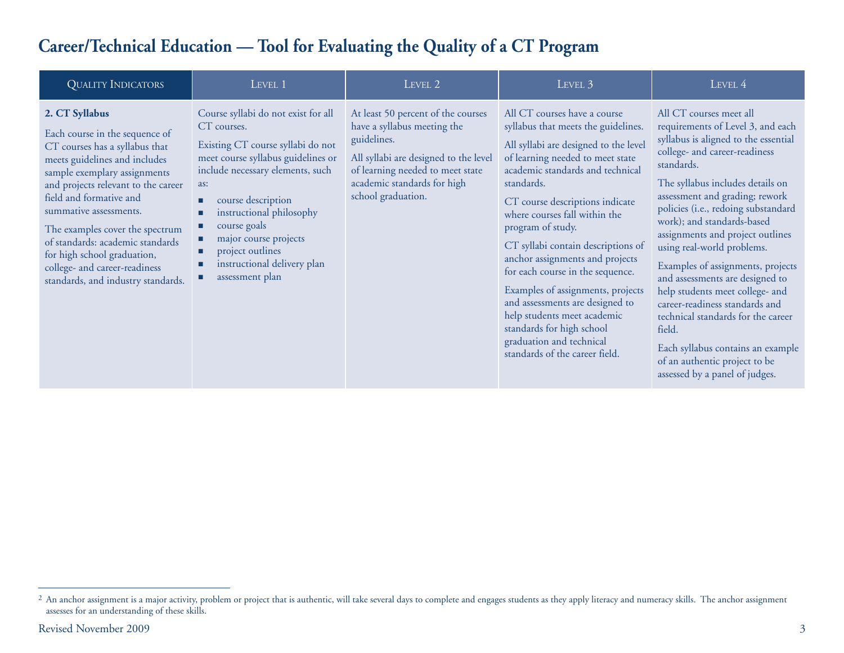| <b>QUALITY INDICATORS</b>                                                                                                                                                                                                                                                                                                                                                                                                    | LEVEL 1                                                                                                                                                                                                                                                                                                                                   | LEVEL 2                                                                                                                                                                                                            | LEVEL 3                                                                                                                                                                                                                                                                                                                                                                                                                                                                                                                                                                                                    | LEVEL 4                                                                                                                                                                                                                                                                                                                                                                                                                                                                                                                                                                                                                                                               |
|------------------------------------------------------------------------------------------------------------------------------------------------------------------------------------------------------------------------------------------------------------------------------------------------------------------------------------------------------------------------------------------------------------------------------|-------------------------------------------------------------------------------------------------------------------------------------------------------------------------------------------------------------------------------------------------------------------------------------------------------------------------------------------|--------------------------------------------------------------------------------------------------------------------------------------------------------------------------------------------------------------------|------------------------------------------------------------------------------------------------------------------------------------------------------------------------------------------------------------------------------------------------------------------------------------------------------------------------------------------------------------------------------------------------------------------------------------------------------------------------------------------------------------------------------------------------------------------------------------------------------------|-----------------------------------------------------------------------------------------------------------------------------------------------------------------------------------------------------------------------------------------------------------------------------------------------------------------------------------------------------------------------------------------------------------------------------------------------------------------------------------------------------------------------------------------------------------------------------------------------------------------------------------------------------------------------|
| 2. CT Syllabus<br>Each course in the sequence of<br>CT courses has a syllabus that<br>meets guidelines and includes<br>sample exemplary assignments<br>and projects relevant to the career<br>field and formative and<br>summative assessments.<br>The examples cover the spectrum<br>of standards: academic standards<br>for high school graduation,<br>college- and career-readiness<br>standards, and industry standards. | Course syllabi do not exist for all<br>CT courses.<br>Existing CT course syllabi do not<br>meet course syllabus guidelines or<br>include necessary elements, such<br>as:<br>course description<br>instructional philosophy<br>course goals<br>major course projects<br>project outlines<br>instructional delivery plan<br>assessment plan | At least 50 percent of the courses<br>have a syllabus meeting the<br>guidelines.<br>All syllabi are designed to the level<br>of learning needed to meet state<br>academic standards for high<br>school graduation. | All CT courses have a course<br>syllabus that meets the guidelines.<br>All syllabi are designed to the level<br>of learning needed to meet state<br>academic standards and technical<br>standards.<br>CT course descriptions indicate<br>where courses fall within the<br>program of study.<br>CT syllabi contain descriptions of<br>anchor assignments and projects<br>for each course in the sequence.<br>Examples of assignments, projects<br>and assessments are designed to<br>help students meet academic<br>standards for high school<br>graduation and technical<br>standards of the career field. | All CT courses meet all<br>requirements of Level 3, and each<br>syllabus is aligned to the essential<br>college- and career-readiness<br>standards.<br>The syllabus includes details on<br>assessment and grading; rework<br>policies (i.e., redoing substandard<br>work); and standards-based<br>assignments and project outlines<br>using real-world problems.<br>Examples of assignments, projects<br>and assessments are designed to<br>help students meet college- and<br>career-readiness standards and<br>technical standards for the career<br>field.<br>Each syllabus contains an example<br>of an authentic project to be<br>assessed by a panel of judges. |

<sup>&</sup>lt;sup>2</sup> An anchor assignment is a major activity, problem or project that is authentic, will take several days to complete and engages students as they apply literacy and numeracy skills. The anchor assignment assesses for an understanding of these skills.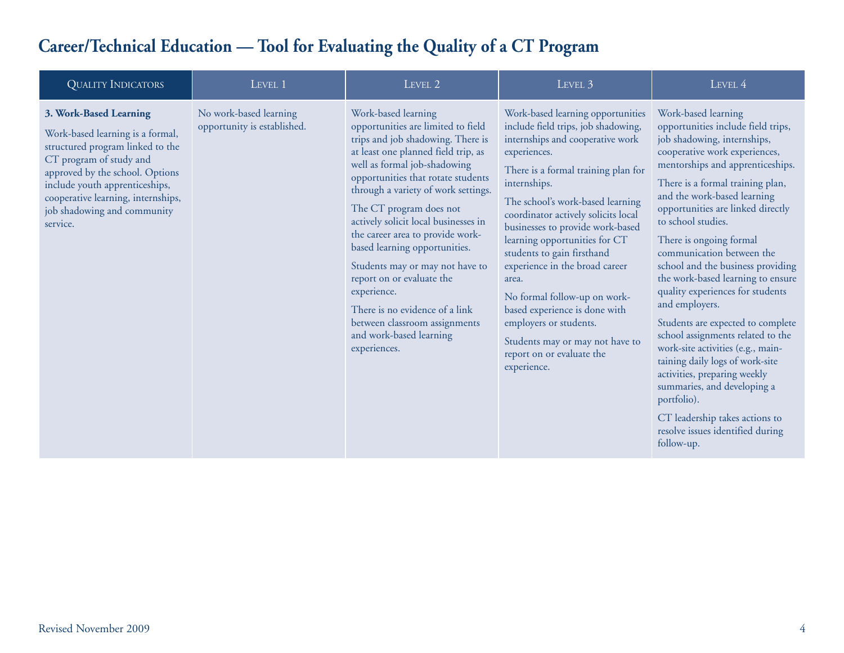| <b>QUALITY INDICATORS</b>                                                                                                                                                                                                                                                       | LEVEL 1                                               | LEVEL 2                                                                                                                                                                                                                                                                                                                                                                                                                                                                                                                                                                                 | LEVEL 3                                                                                                                                                                                                                                                                                                                                                                                                                                                                                                                                                                                | LEVEL 4                                                                                                                                                                                                                                                                                                                                                                                                                                                                                                                                                                                                                                                                                                                                                                                                 |
|---------------------------------------------------------------------------------------------------------------------------------------------------------------------------------------------------------------------------------------------------------------------------------|-------------------------------------------------------|-----------------------------------------------------------------------------------------------------------------------------------------------------------------------------------------------------------------------------------------------------------------------------------------------------------------------------------------------------------------------------------------------------------------------------------------------------------------------------------------------------------------------------------------------------------------------------------------|----------------------------------------------------------------------------------------------------------------------------------------------------------------------------------------------------------------------------------------------------------------------------------------------------------------------------------------------------------------------------------------------------------------------------------------------------------------------------------------------------------------------------------------------------------------------------------------|---------------------------------------------------------------------------------------------------------------------------------------------------------------------------------------------------------------------------------------------------------------------------------------------------------------------------------------------------------------------------------------------------------------------------------------------------------------------------------------------------------------------------------------------------------------------------------------------------------------------------------------------------------------------------------------------------------------------------------------------------------------------------------------------------------|
| 3. Work-Based Learning<br>Work-based learning is a formal,<br>structured program linked to the<br>CT program of study and<br>approved by the school. Options<br>include youth apprenticeships,<br>cooperative learning, internships,<br>job shadowing and community<br>service. | No work-based learning<br>opportunity is established. | Work-based learning<br>opportunities are limited to field<br>trips and job shadowing. There is<br>at least one planned field trip, as<br>well as formal job-shadowing<br>opportunities that rotate students<br>through a variety of work settings.<br>The CT program does not<br>actively solicit local businesses in<br>the career area to provide work-<br>based learning opportunities.<br>Students may or may not have to<br>report on or evaluate the<br>experience.<br>There is no evidence of a link<br>between classroom assignments<br>and work-based learning<br>experiences. | Work-based learning opportunities<br>include field trips, job shadowing,<br>internships and cooperative work<br>experiences.<br>There is a formal training plan for<br>internships.<br>The school's work-based learning<br>coordinator actively solicits local<br>businesses to provide work-based<br>learning opportunities for CT<br>students to gain firsthand<br>experience in the broad career<br>area.<br>No formal follow-up on work-<br>based experience is done with<br>employers or students.<br>Students may or may not have to<br>report on or evaluate the<br>experience. | Work-based learning<br>opportunities include field trips,<br>job shadowing, internships,<br>cooperative work experiences,<br>mentorships and apprenticeships.<br>There is a formal training plan,<br>and the work-based learning<br>opportunities are linked directly<br>to school studies.<br>There is ongoing formal<br>communication between the<br>school and the business providing<br>the work-based learning to ensure<br>quality experiences for students<br>and employers.<br>Students are expected to complete<br>school assignments related to the<br>work-site activities (e.g., main-<br>taining daily logs of work-site<br>activities, preparing weekly<br>summaries, and developing a<br>portfolio).<br>CT leadership takes actions to<br>resolve issues identified during<br>follow-up. |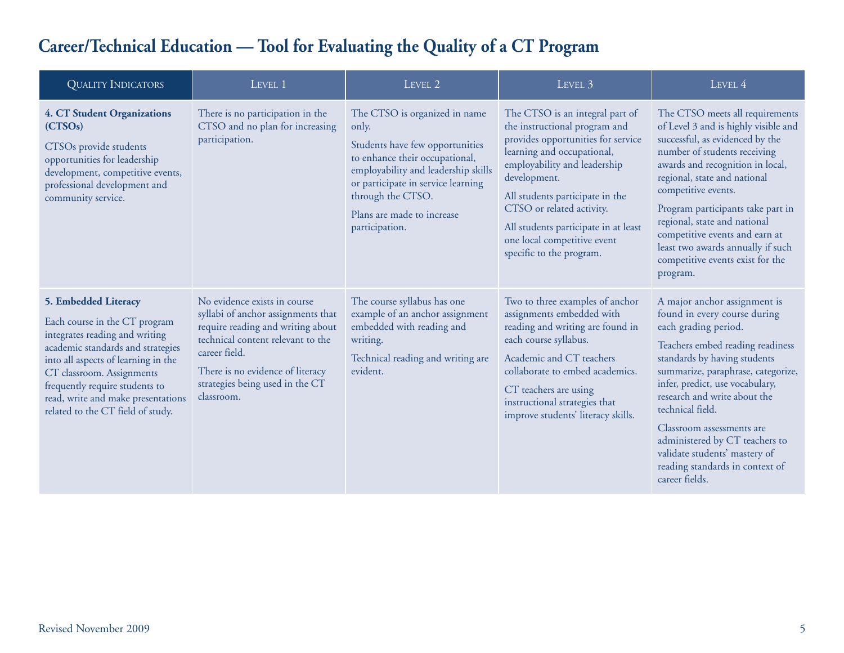| <b>QUALITY INDICATORS</b>                                                                                                                                                                                                                                                                                     | LEVEL 1                                                                                                                                                                                                                                            | LEVEL 2                                                                                                                                                                                                                                                       | LEVEL 3                                                                                                                                                                                                                                                                                                                                                 | LEVEL 4                                                                                                                                                                                                                                                                                                                                                                                                                                    |
|---------------------------------------------------------------------------------------------------------------------------------------------------------------------------------------------------------------------------------------------------------------------------------------------------------------|----------------------------------------------------------------------------------------------------------------------------------------------------------------------------------------------------------------------------------------------------|---------------------------------------------------------------------------------------------------------------------------------------------------------------------------------------------------------------------------------------------------------------|---------------------------------------------------------------------------------------------------------------------------------------------------------------------------------------------------------------------------------------------------------------------------------------------------------------------------------------------------------|--------------------------------------------------------------------------------------------------------------------------------------------------------------------------------------------------------------------------------------------------------------------------------------------------------------------------------------------------------------------------------------------------------------------------------------------|
| 4. CT Student Organizations<br>(CTSOs)<br>CTSOs provide students<br>opportunities for leadership<br>development, competitive events,<br>professional development and<br>community service.                                                                                                                    | There is no participation in the<br>CTSO and no plan for increasing<br>participation.                                                                                                                                                              | The CTSO is organized in name<br>only.<br>Students have few opportunities<br>to enhance their occupational,<br>employability and leadership skills<br>or participate in service learning<br>through the CTSO.<br>Plans are made to increase<br>participation. | The CTSO is an integral part of<br>the instructional program and<br>provides opportunities for service<br>learning and occupational,<br>employability and leadership<br>development.<br>All students participate in the<br>CTSO or related activity.<br>All students participate in at least<br>one local competitive event<br>specific to the program. | The CTSO meets all requirements<br>of Level 3 and is highly visible and<br>successful, as evidenced by the<br>number of students receiving<br>awards and recognition in local,<br>regional, state and national<br>competitive events.<br>Program participants take part in<br>regional, state and national<br>competitive events and earn at<br>least two awards annually if such<br>competitive events exist for the<br>program.          |
| 5. Embedded Literacy<br>Each course in the CT program<br>integrates reading and writing<br>academic standards and strategies<br>into all aspects of learning in the<br>CT classroom. Assignments<br>frequently require students to<br>read, write and make presentations<br>related to the CT field of study. | No evidence exists in course<br>syllabi of anchor assignments that<br>require reading and writing about<br>technical content relevant to the<br>career field.<br>There is no evidence of literacy<br>strategies being used in the CT<br>classroom. | The course syllabus has one<br>example of an anchor assignment<br>embedded with reading and<br>writing.<br>Technical reading and writing are<br>evident.                                                                                                      | Two to three examples of anchor<br>assignments embedded with<br>reading and writing are found in<br>each course syllabus.<br>Academic and CT teachers<br>collaborate to embed academics.<br>CT teachers are using<br>instructional strategies that<br>improve students' literacy skills.                                                                | A major anchor assignment is<br>found in every course during<br>each grading period.<br>Teachers embed reading readiness<br>standards by having students<br>summarize, paraphrase, categorize,<br>infer, predict, use vocabulary,<br>research and write about the<br>technical field.<br>Classroom assessments are<br>administered by CT teachers to<br>validate students' mastery of<br>reading standards in context of<br>career fields. |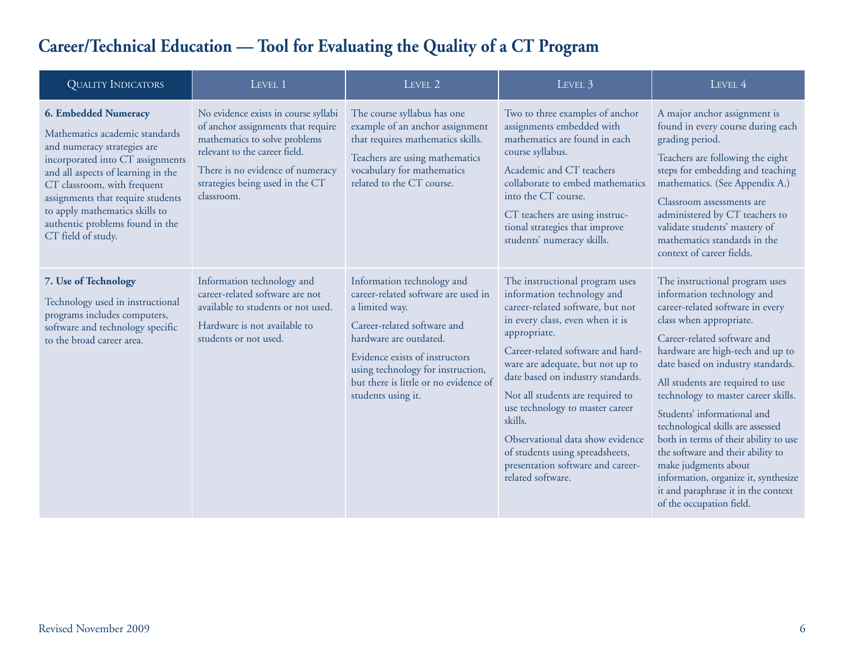| <b>QUALITY INDICATORS</b>                                                                                                                                                                                                                                                                                                      | LEVEL 1                                                                                                                                                                                                                           | LEVEL 2                                                                                                                                                                                                                                                                            | LEVEL 3                                                                                                                                                                                                                                                                                                                                                                                                                                                                              | LEVEL 4                                                                                                                                                                                                                                                                                                                                                                                                                                                                                                                                                                                             |
|--------------------------------------------------------------------------------------------------------------------------------------------------------------------------------------------------------------------------------------------------------------------------------------------------------------------------------|-----------------------------------------------------------------------------------------------------------------------------------------------------------------------------------------------------------------------------------|------------------------------------------------------------------------------------------------------------------------------------------------------------------------------------------------------------------------------------------------------------------------------------|--------------------------------------------------------------------------------------------------------------------------------------------------------------------------------------------------------------------------------------------------------------------------------------------------------------------------------------------------------------------------------------------------------------------------------------------------------------------------------------|-----------------------------------------------------------------------------------------------------------------------------------------------------------------------------------------------------------------------------------------------------------------------------------------------------------------------------------------------------------------------------------------------------------------------------------------------------------------------------------------------------------------------------------------------------------------------------------------------------|
| 6. Embedded Numeracy<br>Mathematics academic standards<br>and numeracy strategies are<br>incorporated into CT assignments<br>and all aspects of learning in the<br>CT classroom, with frequent<br>assignments that require students<br>to apply mathematics skills to<br>authentic problems found in the<br>CT field of study. | No evidence exists in course syllabi<br>of anchor assignments that require<br>mathematics to solve problems<br>relevant to the career field.<br>There is no evidence of numeracy<br>strategies being used in the CT<br>classroom. | The course syllabus has one<br>example of an anchor assignment<br>that requires mathematics skills.<br>Teachers are using mathematics<br>vocabulary for mathematics<br>related to the CT course.                                                                                   | Two to three examples of anchor<br>assignments embedded with<br>mathematics are found in each<br>course syllabus.<br>Academic and CT teachers<br>collaborate to embed mathematics<br>into the CT course.<br>CT teachers are using instruc-<br>tional strategies that improve<br>students' numeracy skills.                                                                                                                                                                           | A major anchor assignment is<br>found in every course during each<br>grading period.<br>Teachers are following the eight<br>steps for embedding and teaching<br>mathematics. (See Appendix A.)<br>Classroom assessments are<br>administered by CT teachers to<br>validate students' mastery of<br>mathematics standards in the<br>context of career fields.                                                                                                                                                                                                                                         |
| 7. Use of Technology<br>Technology used in instructional<br>programs includes computers,<br>software and technology specific<br>to the broad career area.                                                                                                                                                                      | Information technology and<br>career-related software are not<br>available to students or not used.<br>Hardware is not available to<br>students or not used.                                                                      | Information technology and<br>career-related software are used in<br>a limited way.<br>Career-related software and<br>hardware are outdated.<br>Evidence exists of instructors<br>using technology for instruction,<br>but there is little or no evidence of<br>students using it. | The instructional program uses<br>information technology and<br>career-related software, but not<br>in every class, even when it is<br>appropriate.<br>Career-related software and hard-<br>ware are adequate, but not up to<br>date based on industry standards.<br>Not all students are required to<br>use technology to master career<br>skills.<br>Observational data show evidence<br>of students using spreadsheets,<br>presentation software and career-<br>related software. | The instructional program uses<br>information technology and<br>career-related software in every<br>class when appropriate.<br>Career-related software and<br>hardware are high-tech and up to<br>date based on industry standards.<br>All students are required to use<br>technology to master career skills.<br>Students' informational and<br>technological skills are assessed<br>both in terms of their ability to use<br>the software and their ability to<br>make judgments about<br>information, organize it, synthesize<br>it and paraphrase it in the context<br>of the occupation field. |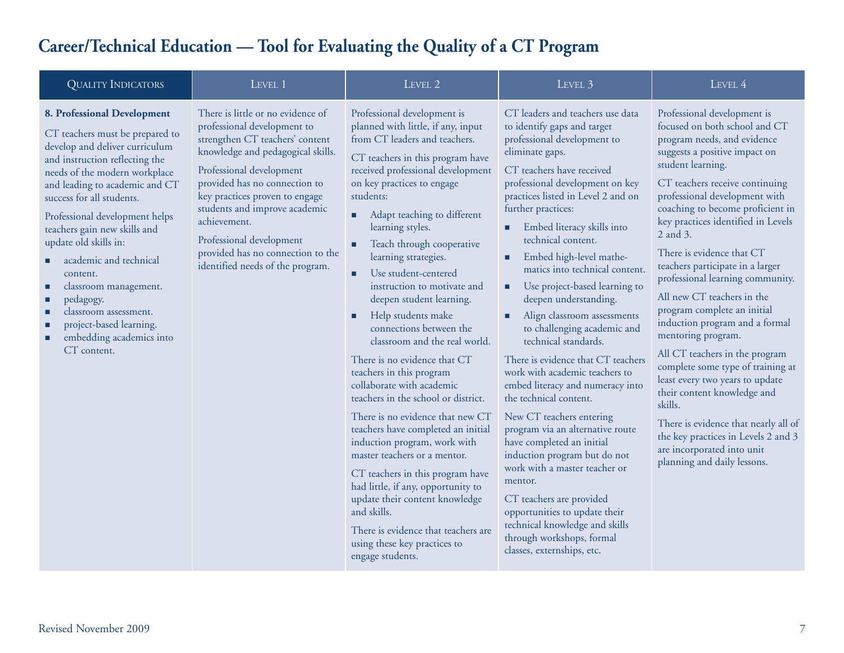| <b>QUALITY INDICATORS</b>                                                                                                                                                                                                                                                                                                                                                                                                                                                                                | LEVEL 1                                                                                                                                                                                                                                                                                                                                                                                       | LEVEL 2                                                                                                                                                                                                                                                                                                                                                                                                                                                                                                                                                                                                                                                                                                                                                                                                                                                                                                                                                                                                  | LEVEL 3                                                                                                                                                                                                                                                                                                                                                                                                                                                                                                                                                                                                                                                                                                                                                                                                                                                                                                                                                                                           | LEVEL 4                                                                                                                                                                                                                                                                                                                                                                                                                                                                                                                                                                                                                                                                                                                                                                                                                              |
|----------------------------------------------------------------------------------------------------------------------------------------------------------------------------------------------------------------------------------------------------------------------------------------------------------------------------------------------------------------------------------------------------------------------------------------------------------------------------------------------------------|-----------------------------------------------------------------------------------------------------------------------------------------------------------------------------------------------------------------------------------------------------------------------------------------------------------------------------------------------------------------------------------------------|----------------------------------------------------------------------------------------------------------------------------------------------------------------------------------------------------------------------------------------------------------------------------------------------------------------------------------------------------------------------------------------------------------------------------------------------------------------------------------------------------------------------------------------------------------------------------------------------------------------------------------------------------------------------------------------------------------------------------------------------------------------------------------------------------------------------------------------------------------------------------------------------------------------------------------------------------------------------------------------------------------|---------------------------------------------------------------------------------------------------------------------------------------------------------------------------------------------------------------------------------------------------------------------------------------------------------------------------------------------------------------------------------------------------------------------------------------------------------------------------------------------------------------------------------------------------------------------------------------------------------------------------------------------------------------------------------------------------------------------------------------------------------------------------------------------------------------------------------------------------------------------------------------------------------------------------------------------------------------------------------------------------|--------------------------------------------------------------------------------------------------------------------------------------------------------------------------------------------------------------------------------------------------------------------------------------------------------------------------------------------------------------------------------------------------------------------------------------------------------------------------------------------------------------------------------------------------------------------------------------------------------------------------------------------------------------------------------------------------------------------------------------------------------------------------------------------------------------------------------------|
| 8. Professional Development<br>CT teachers must be prepared to<br>develop and deliver curriculum<br>and instruction reflecting the<br>needs of the modern workplace<br>and leading to academic and CT<br>success for all students.<br>Professional development helps<br>teachers gain new skills and<br>update old skills in:<br>academic and technical<br>content.<br>classroom management.<br>pedagogy.<br>classroom assessment.<br>project-based learning.<br>embedding academics into<br>CT content. | There is little or no evidence of<br>professional development to<br>strengthen CT teachers' content<br>knowledge and pedagogical skills.<br>Professional development<br>provided has no connection to<br>key practices proven to engage<br>students and improve academic<br>achievement.<br>Professional development<br>provided has no connection to the<br>identified needs of the program. | Professional development is<br>planned with little, if any, input<br>from CT leaders and teachers.<br>CT teachers in this program have<br>received professional development<br>on key practices to engage<br>students:<br>Adapt teaching to different<br>learning styles.<br>Teach through cooperative<br>learning strategies.<br>Use student-centered<br>٠<br>instruction to motivate and<br>deepen student learning.<br>Help students make<br>connections between the<br>classroom and the real world.<br>There is no evidence that CT<br>teachers in this program<br>collaborate with academic<br>teachers in the school or district.<br>There is no evidence that new CT<br>teachers have completed an initial<br>induction program, work with<br>master teachers or a mentor.<br>CT teachers in this program have<br>had little, if any, opportunity to<br>update their content knowledge<br>and skills.<br>There is evidence that teachers are<br>using these key practices to<br>engage students. | CT leaders and teachers use data<br>to identify gaps and target<br>professional development to<br>eliminate gaps.<br>CT teachers have received<br>professional development on key<br>practices listed in Level 2 and on<br>further practices:<br>Embed literacy skills into<br>technical content.<br>Embed high-level mathe-<br>٠<br>matics into technical content.<br>Use project-based learning to<br>deepen understanding.<br>Align classroom assessments<br>٠<br>to challenging academic and<br>technical standards.<br>There is evidence that CT teachers<br>work with academic teachers to<br>embed literacy and numeracy into<br>the technical content.<br>New CT teachers entering<br>program via an alternative route<br>have completed an initial<br>induction program but do not<br>work with a master teacher or<br>mentor.<br>CT teachers are provided<br>opportunities to update their<br>technical knowledge and skills<br>through workshops, formal<br>classes, externships, etc. | Professional development is<br>focused on both school and CT<br>program needs, and evidence<br>suggests a positive impact on<br>student learning.<br>CT teachers receive continuing<br>professional development with<br>coaching to become proficient in<br>key practices identified in Levels<br>2 and 3.<br>There is evidence that CT<br>teachers participate in a larger<br>professional learning community.<br>All new CT teachers in the<br>program complete an initial<br>induction program and a formal<br>mentoring program.<br>All CT teachers in the program<br>complete some type of training at<br>least every two years to update<br>their content knowledge and<br>skills.<br>There is evidence that nearly all of<br>the key practices in Levels 2 and 3<br>are incorporated into unit<br>planning and daily lessons. |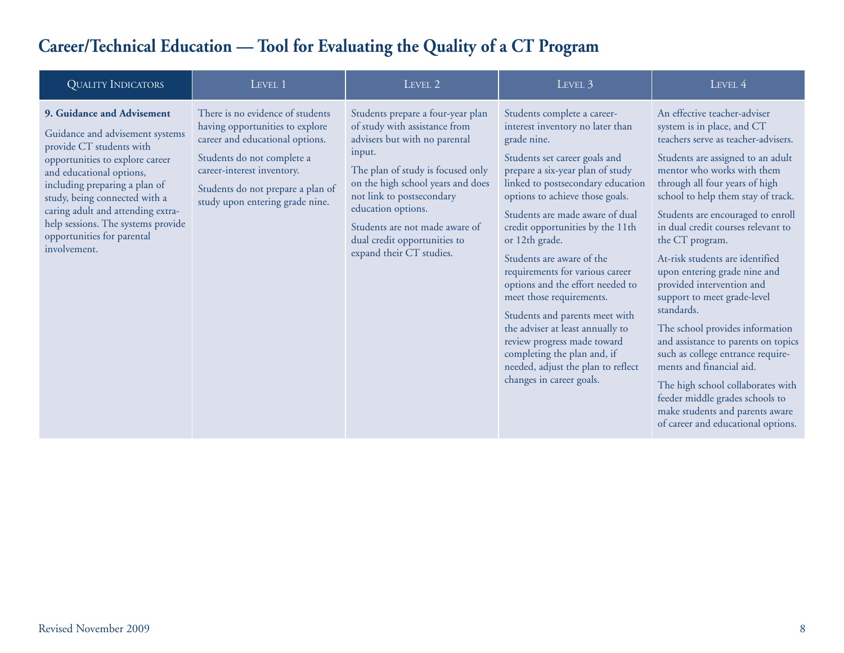| <b>QUALITY INDICATORS</b>                                                                                                                                                                                                                                                                                                                           | LEVEL 1                                                                                                                                                                                                                                    | LEVEL 2                                                                                                                                                                                                                                                                                                                                  | LEVEL 3                                                                                                                                                                                                                                                                                                                                                                                                                                                                                                                                                                                                                                                    | LEVEL 4                                                                                                                                                                                                                                                                                                                                                                                                                                                                                                                                                                                                                                                                                                                                                                             |
|-----------------------------------------------------------------------------------------------------------------------------------------------------------------------------------------------------------------------------------------------------------------------------------------------------------------------------------------------------|--------------------------------------------------------------------------------------------------------------------------------------------------------------------------------------------------------------------------------------------|------------------------------------------------------------------------------------------------------------------------------------------------------------------------------------------------------------------------------------------------------------------------------------------------------------------------------------------|------------------------------------------------------------------------------------------------------------------------------------------------------------------------------------------------------------------------------------------------------------------------------------------------------------------------------------------------------------------------------------------------------------------------------------------------------------------------------------------------------------------------------------------------------------------------------------------------------------------------------------------------------------|-------------------------------------------------------------------------------------------------------------------------------------------------------------------------------------------------------------------------------------------------------------------------------------------------------------------------------------------------------------------------------------------------------------------------------------------------------------------------------------------------------------------------------------------------------------------------------------------------------------------------------------------------------------------------------------------------------------------------------------------------------------------------------------|
| 9. Guidance and Advisement<br>Guidance and advisement systems<br>provide CT students with<br>opportunities to explore career<br>and educational options,<br>including preparing a plan of<br>study, being connected with a<br>caring adult and attending extra-<br>help sessions. The systems provide<br>opportunities for parental<br>involvement. | There is no evidence of students<br>having opportunities to explore<br>career and educational options.<br>Students do not complete a<br>career-interest inventory.<br>Students do not prepare a plan of<br>study upon entering grade nine. | Students prepare a four-year plan<br>of study with assistance from<br>advisers but with no parental<br>input.<br>The plan of study is focused only<br>on the high school years and does<br>not link to postsecondary<br>education options.<br>Students are not made aware of<br>dual credit opportunities to<br>expand their CT studies. | Students complete a career-<br>interest inventory no later than<br>grade nine.<br>Students set career goals and<br>prepare a six-year plan of study<br>linked to postsecondary education<br>options to achieve those goals.<br>Students are made aware of dual<br>credit opportunities by the 11th<br>or 12th grade.<br>Students are aware of the<br>requirements for various career<br>options and the effort needed to<br>meet those requirements.<br>Students and parents meet with<br>the adviser at least annually to<br>review progress made toward<br>completing the plan and, if<br>needed, adjust the plan to reflect<br>changes in career goals. | An effective teacher-adviser<br>system is in place, and CT<br>teachers serve as teacher-advisers.<br>Students are assigned to an adult<br>mentor who works with them<br>through all four years of high<br>school to help them stay of track.<br>Students are encouraged to enroll<br>in dual credit courses relevant to<br>the CT program.<br>At-risk students are identified<br>upon entering grade nine and<br>provided intervention and<br>support to meet grade-level<br>standards.<br>The school provides information<br>and assistance to parents on topics<br>such as college entrance require-<br>ments and financial aid.<br>The high school collaborates with<br>feeder middle grades schools to<br>make students and parents aware<br>of career and educational options. |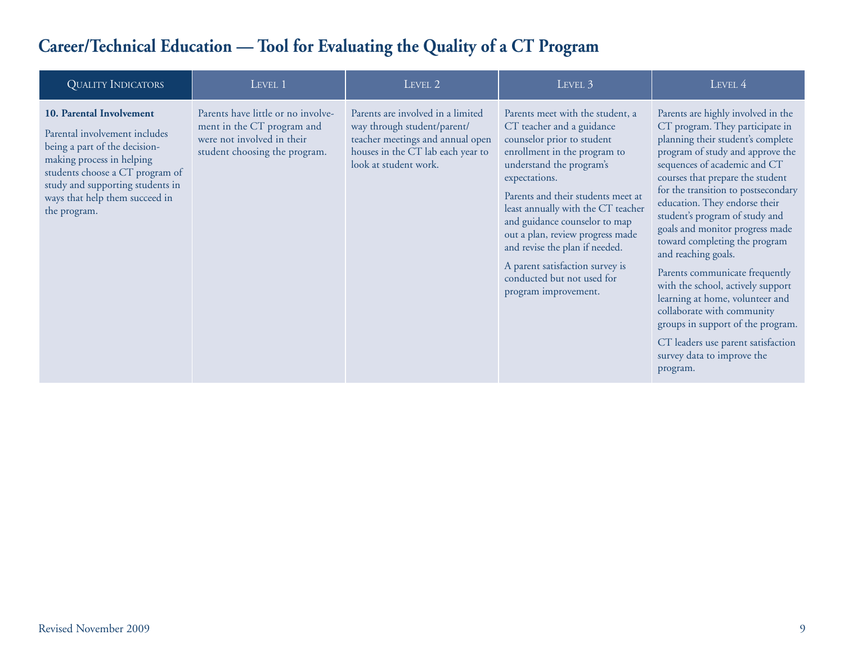| <b>QUALITY INDICATORS</b>                                                                                                                                                                                                                        | LEVEL 1                                                                                                                         | LEVEL 2                                                                                                                                                            | LEVEL 3                                                                                                                                                                                                                                                                                                                                                                                                                                              | LEVEL 4                                                                                                                                                                                                                                                                                                                                                                                                                                                                                                                                                                                                                                                                              |
|--------------------------------------------------------------------------------------------------------------------------------------------------------------------------------------------------------------------------------------------------|---------------------------------------------------------------------------------------------------------------------------------|--------------------------------------------------------------------------------------------------------------------------------------------------------------------|------------------------------------------------------------------------------------------------------------------------------------------------------------------------------------------------------------------------------------------------------------------------------------------------------------------------------------------------------------------------------------------------------------------------------------------------------|--------------------------------------------------------------------------------------------------------------------------------------------------------------------------------------------------------------------------------------------------------------------------------------------------------------------------------------------------------------------------------------------------------------------------------------------------------------------------------------------------------------------------------------------------------------------------------------------------------------------------------------------------------------------------------------|
| 10. Parental Involvement<br>Parental involvement includes<br>being a part of the decision-<br>making process in helping<br>students choose a CT program of<br>study and supporting students in<br>ways that help them succeed in<br>the program. | Parents have little or no involve-<br>ment in the CT program and<br>were not involved in their<br>student choosing the program. | Parents are involved in a limited<br>way through student/parent/<br>teacher meetings and annual open<br>houses in the CT lab each year to<br>look at student work. | Parents meet with the student, a<br>CT teacher and a guidance<br>counselor prior to student<br>enrollment in the program to<br>understand the program's<br>expectations.<br>Parents and their students meet at<br>least annually with the CT teacher<br>and guidance counselor to map<br>out a plan, review progress made<br>and revise the plan if needed.<br>A parent satisfaction survey is<br>conducted but not used for<br>program improvement. | Parents are highly involved in the<br>CT program. They participate in<br>planning their student's complete<br>program of study and approve the<br>sequences of academic and CT<br>courses that prepare the student<br>for the transition to postsecondary<br>education. They endorse their<br>student's program of study and<br>goals and monitor progress made<br>toward completing the program<br>and reaching goals.<br>Parents communicate frequently<br>with the school, actively support<br>learning at home, volunteer and<br>collaborate with community<br>groups in support of the program.<br>CT leaders use parent satisfaction<br>survey data to improve the<br>program. |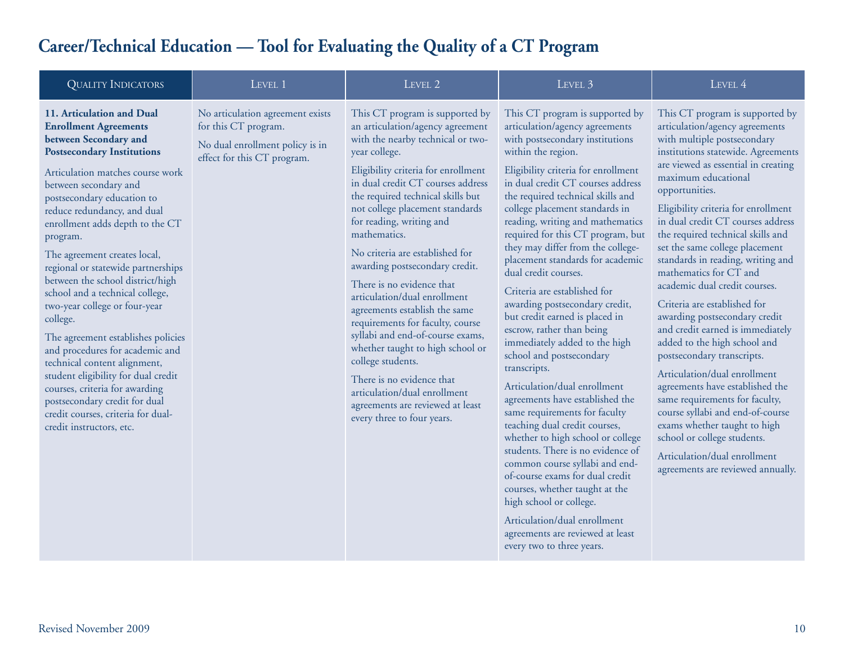| <b>QUALITY INDICATORS</b>                                                                                                                                                                                                                                                                                                                                                                                                                                                                                                                                                                                                                                                                                                                                                       | LEVEL 1                                                                                                                    | LEVEL 2                                                                                                                                                                                                                                                                                                                                                                                                                                                                                                                                                                                                                                                                                                                                                      | LEVEL 3                                                                                                                                                                                                                                                                                                                                                                                                                                                                                                                                                                                                                                                                                                                                                                                                                                                                                                                                                                                                                                                                                                                 | LEVEL 4                                                                                                                                                                                                                                                                                                                                                                                                                                                                                                                                                                                                                                                                                                                                                                                                                                                                                                                   |
|---------------------------------------------------------------------------------------------------------------------------------------------------------------------------------------------------------------------------------------------------------------------------------------------------------------------------------------------------------------------------------------------------------------------------------------------------------------------------------------------------------------------------------------------------------------------------------------------------------------------------------------------------------------------------------------------------------------------------------------------------------------------------------|----------------------------------------------------------------------------------------------------------------------------|--------------------------------------------------------------------------------------------------------------------------------------------------------------------------------------------------------------------------------------------------------------------------------------------------------------------------------------------------------------------------------------------------------------------------------------------------------------------------------------------------------------------------------------------------------------------------------------------------------------------------------------------------------------------------------------------------------------------------------------------------------------|-------------------------------------------------------------------------------------------------------------------------------------------------------------------------------------------------------------------------------------------------------------------------------------------------------------------------------------------------------------------------------------------------------------------------------------------------------------------------------------------------------------------------------------------------------------------------------------------------------------------------------------------------------------------------------------------------------------------------------------------------------------------------------------------------------------------------------------------------------------------------------------------------------------------------------------------------------------------------------------------------------------------------------------------------------------------------------------------------------------------------|---------------------------------------------------------------------------------------------------------------------------------------------------------------------------------------------------------------------------------------------------------------------------------------------------------------------------------------------------------------------------------------------------------------------------------------------------------------------------------------------------------------------------------------------------------------------------------------------------------------------------------------------------------------------------------------------------------------------------------------------------------------------------------------------------------------------------------------------------------------------------------------------------------------------------|
| 11. Articulation and Dual<br><b>Enrollment Agreements</b><br>between Secondary and<br><b>Postsecondary Institutions</b><br>Articulation matches course work<br>between secondary and<br>postsecondary education to<br>reduce redundancy, and dual<br>enrollment adds depth to the CT<br>program.<br>The agreement creates local,<br>regional or statewide partnerships<br>between the school district/high<br>school and a technical college,<br>two-year college or four-year<br>college.<br>The agreement establishes policies<br>and procedures for academic and<br>technical content alignment,<br>student eligibility for dual credit<br>courses, criteria for awarding<br>postsecondary credit for dual<br>credit courses, criteria for dual-<br>credit instructors, etc. | No articulation agreement exists<br>for this CT program.<br>No dual enrollment policy is in<br>effect for this CT program. | This CT program is supported by<br>an articulation/agency agreement<br>with the nearby technical or two-<br>year college.<br>Eligibility criteria for enrollment<br>in dual credit CT courses address<br>the required technical skills but<br>not college placement standards<br>for reading, writing and<br>mathematics.<br>No criteria are established for<br>awarding postsecondary credit.<br>There is no evidence that<br>articulation/dual enrollment<br>agreements establish the same<br>requirements for faculty, course<br>syllabi and end-of-course exams,<br>whether taught to high school or<br>college students.<br>There is no evidence that<br>articulation/dual enrollment<br>agreements are reviewed at least<br>every three to four years. | This CT program is supported by<br>articulation/agency agreements<br>with postsecondary institutions<br>within the region.<br>Eligibility criteria for enrollment<br>in dual credit CT courses address<br>the required technical skills and<br>college placement standards in<br>reading, writing and mathematics<br>required for this CT program, but<br>they may differ from the college-<br>placement standards for academic<br>dual credit courses.<br>Criteria are established for<br>awarding postsecondary credit,<br>but credit earned is placed in<br>escrow, rather than being<br>immediately added to the high<br>school and postsecondary<br>transcripts.<br>Articulation/dual enrollment<br>agreements have established the<br>same requirements for faculty<br>teaching dual credit courses,<br>whether to high school or college<br>students. There is no evidence of<br>common course syllabi and end-<br>of-course exams for dual credit<br>courses, whether taught at the<br>high school or college.<br>Articulation/dual enrollment<br>agreements are reviewed at least<br>every two to three years. | This CT program is supported by<br>articulation/agency agreements<br>with multiple postsecondary<br>institutions statewide. Agreements<br>are viewed as essential in creating<br>maximum educational<br>opportunities.<br>Eligibility criteria for enrollment<br>in dual credit CT courses address<br>the required technical skills and<br>set the same college placement<br>standards in reading, writing and<br>mathematics for CT and<br>academic dual credit courses.<br>Criteria are established for<br>awarding postsecondary credit<br>and credit earned is immediately<br>added to the high school and<br>postsecondary transcripts.<br>Articulation/dual enrollment<br>agreements have established the<br>same requirements for faculty,<br>course syllabi and end-of-course<br>exams whether taught to high<br>school or college students.<br>Articulation/dual enrollment<br>agreements are reviewed annually. |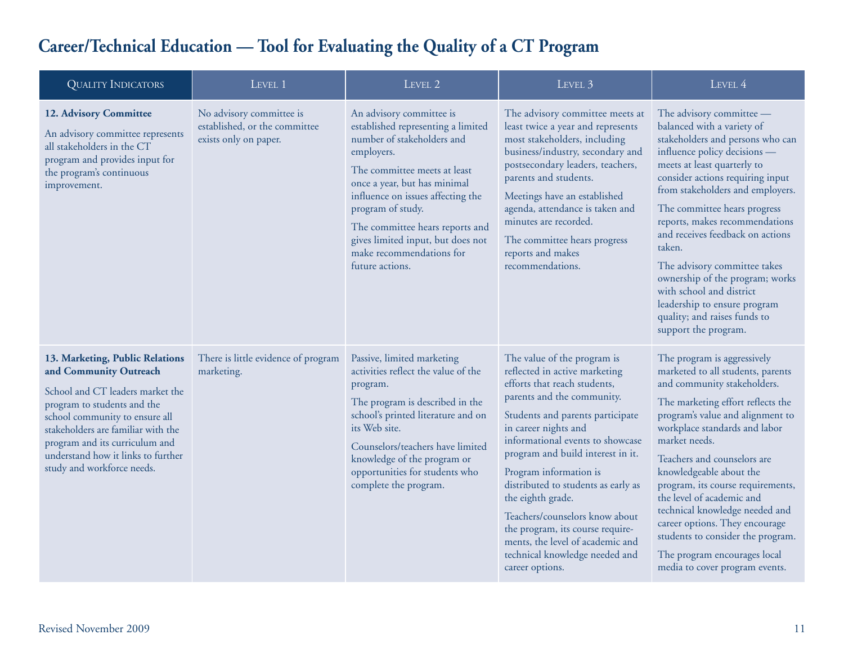| <b>QUALITY INDICATORS</b>                                                                                                                                                                                                                                                                                  | LEVEL 1                                                                            | LEVEL 2                                                                                                                                                                                                                                                                                                                                                     | LEVEL 3                                                                                                                                                                                                                                                                                                                                                                                                                                                                                                              | LEVEL 4                                                                                                                                                                                                                                                                                                                                                                                                                                                                                                                                  |
|------------------------------------------------------------------------------------------------------------------------------------------------------------------------------------------------------------------------------------------------------------------------------------------------------------|------------------------------------------------------------------------------------|-------------------------------------------------------------------------------------------------------------------------------------------------------------------------------------------------------------------------------------------------------------------------------------------------------------------------------------------------------------|----------------------------------------------------------------------------------------------------------------------------------------------------------------------------------------------------------------------------------------------------------------------------------------------------------------------------------------------------------------------------------------------------------------------------------------------------------------------------------------------------------------------|------------------------------------------------------------------------------------------------------------------------------------------------------------------------------------------------------------------------------------------------------------------------------------------------------------------------------------------------------------------------------------------------------------------------------------------------------------------------------------------------------------------------------------------|
| 12. Advisory Committee<br>An advisory committee represents<br>all stakeholders in the CT<br>program and provides input for<br>the program's continuous<br>improvement.                                                                                                                                     | No advisory committee is<br>established, or the committee<br>exists only on paper. | An advisory committee is<br>established representing a limited<br>number of stakeholders and<br>employers.<br>The committee meets at least<br>once a year, but has minimal<br>influence on issues affecting the<br>program of study.<br>The committee hears reports and<br>gives limited input, but does not<br>make recommendations for<br>future actions. | The advisory committee meets at<br>least twice a year and represents<br>most stakeholders, including<br>business/industry, secondary and<br>postsecondary leaders, teachers,<br>parents and students.<br>Meetings have an established<br>agenda, attendance is taken and<br>minutes are recorded.<br>The committee hears progress<br>reports and makes<br>recommendations.                                                                                                                                           | The advisory committee -<br>balanced with a variety of<br>stakeholders and persons who can<br>influence policy decisions -<br>meets at least quarterly to<br>consider actions requiring input<br>from stakeholders and employers.<br>The committee hears progress<br>reports, makes recommendations<br>and receives feedback on actions<br>taken.<br>The advisory committee takes<br>ownership of the program; works<br>with school and district<br>leadership to ensure program<br>quality; and raises funds to<br>support the program. |
| 13. Marketing, Public Relations<br>and Community Outreach<br>School and CT leaders market the<br>program to students and the<br>school community to ensure all<br>stakeholders are familiar with the<br>program and its curriculum and<br>understand how it links to further<br>study and workforce needs. | There is little evidence of program<br>marketing.                                  | Passive, limited marketing<br>activities reflect the value of the<br>program.<br>The program is described in the<br>school's printed literature and on<br>its Web site.<br>Counselors/teachers have limited<br>knowledge of the program or<br>opportunities for students who<br>complete the program.                                                       | The value of the program is<br>reflected in active marketing<br>efforts that reach students,<br>parents and the community.<br>Students and parents participate<br>in career nights and<br>informational events to showcase<br>program and build interest in it.<br>Program information is<br>distributed to students as early as<br>the eighth grade.<br>Teachers/counselors know about<br>the program, its course require-<br>ments, the level of academic and<br>technical knowledge needed and<br>career options. | The program is aggressively<br>marketed to all students, parents<br>and community stakeholders.<br>The marketing effort reflects the<br>program's value and alignment to<br>workplace standards and labor<br>market needs.<br>Teachers and counselors are<br>knowledgeable about the<br>program, its course requirements,<br>the level of academic and<br>technical knowledge needed and<br>career options. They encourage<br>students to consider the program.<br>The program encourages local<br>media to cover program events.        |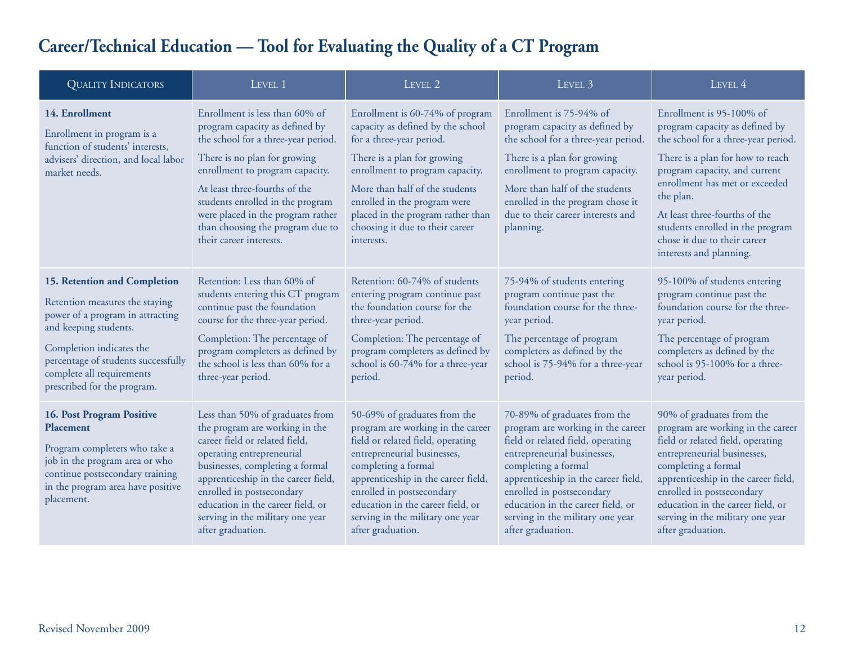| <b>QUALITY INDICATORS</b>                                                                                                                                                                                                                                  | LEVEL 1                                                                                                                                                                                                                                                                                                                                             | LEVEL 2                                                                                                                                                                                                                                                                                                                        | LEVEL 3                                                                                                                                                                                                                                                                                                                        | LEVEL 4                                                                                                                                                                                                                                                                                                                                               |
|------------------------------------------------------------------------------------------------------------------------------------------------------------------------------------------------------------------------------------------------------------|-----------------------------------------------------------------------------------------------------------------------------------------------------------------------------------------------------------------------------------------------------------------------------------------------------------------------------------------------------|--------------------------------------------------------------------------------------------------------------------------------------------------------------------------------------------------------------------------------------------------------------------------------------------------------------------------------|--------------------------------------------------------------------------------------------------------------------------------------------------------------------------------------------------------------------------------------------------------------------------------------------------------------------------------|-------------------------------------------------------------------------------------------------------------------------------------------------------------------------------------------------------------------------------------------------------------------------------------------------------------------------------------------------------|
| 14. Enrollment<br>Enrollment in program is a<br>function of students' interests,<br>advisers' direction, and local labor<br>market needs.                                                                                                                  | Enrollment is less than 60% of<br>program capacity as defined by<br>the school for a three-year period.<br>There is no plan for growing<br>enrollment to program capacity.<br>At least three-fourths of the<br>students enrolled in the program<br>were placed in the program rather<br>than choosing the program due to<br>their career interests. | Enrollment is 60-74% of program<br>capacity as defined by the school<br>for a three-year period.<br>There is a plan for growing<br>enrollment to program capacity.<br>More than half of the students<br>enrolled in the program were<br>placed in the program rather than<br>choosing it due to their career<br>interests.     | Enrollment is 75-94% of<br>program capacity as defined by<br>the school for a three-year period.<br>There is a plan for growing<br>enrollment to program capacity.<br>More than half of the students<br>enrolled in the program chose it<br>due to their career interests and<br>planning.                                     | Enrollment is 95-100% of<br>program capacity as defined by<br>the school for a three-year period.<br>There is a plan for how to reach<br>program capacity, and current<br>enrollment has met or exceeded<br>the plan.<br>At least three-fourths of the<br>students enrolled in the program<br>chose it due to their career<br>interests and planning. |
| 15. Retention and Completion<br>Retention measures the staying<br>power of a program in attracting<br>and keeping students.<br>Completion indicates the<br>percentage of students successfully<br>complete all requirements<br>prescribed for the program. | Retention: Less than 60% of<br>students entering this CT program<br>continue past the foundation<br>course for the three-year period.<br>Completion: The percentage of<br>program completers as defined by<br>the school is less than 60% for a<br>three-year period.                                                                               | Retention: 60-74% of students<br>entering program continue past<br>the foundation course for the<br>three-year period.<br>Completion: The percentage of<br>program completers as defined by<br>school is 60-74% for a three-year<br>period.                                                                                    | 75-94% of students entering<br>program continue past the<br>foundation course for the three-<br>year period.<br>The percentage of program<br>completers as defined by the<br>school is 75-94% for a three-year<br>period.                                                                                                      | 95-100% of students entering<br>program continue past the<br>foundation course for the three-<br>year period.<br>The percentage of program<br>completers as defined by the<br>school is 95-100% for a three-<br>year period.                                                                                                                          |
| <b>16. Post Program Positive</b><br>Placement<br>Program completers who take a<br>job in the program area or who<br>continue postsecondary training<br>in the program area have positive<br>placement.                                                     | Less than 50% of graduates from<br>the program are working in the<br>career field or related field,<br>operating entrepreneurial<br>businesses, completing a formal<br>apprenticeship in the career field,<br>enrolled in postsecondary<br>education in the career field, or<br>serving in the military one year<br>after graduation.               | 50-69% of graduates from the<br>program are working in the career<br>field or related field, operating<br>entrepreneurial businesses,<br>completing a formal<br>apprenticeship in the career field,<br>enrolled in postsecondary<br>education in the career field, or<br>serving in the military one year<br>after graduation. | 70-89% of graduates from the<br>program are working in the career<br>field or related field, operating<br>entrepreneurial businesses,<br>completing a formal<br>apprenticeship in the career field,<br>enrolled in postsecondary<br>education in the career field, or<br>serving in the military one year<br>after graduation. | 90% of graduates from the<br>program are working in the career<br>field or related field, operating<br>entrepreneurial businesses,<br>completing a formal<br>apprenticeship in the career field,<br>enrolled in postsecondary<br>education in the career field, or<br>serving in the military one year<br>after graduation.                           |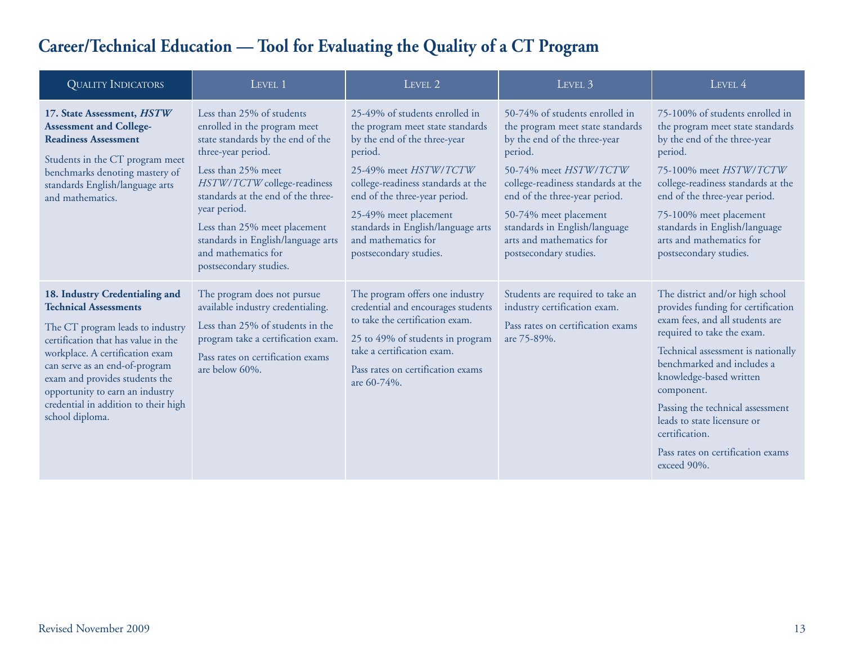| <b>QUALITY INDICATORS</b>                                                                                                                                                                                                                                                                                                                      | LEVEL 1                                                                                                                                                                                                                                                                                                                                                | LEVEL 2                                                                                                                                                                                                                                                                                                                       | LEVEL 3                                                                                                                                                                                                                                                                                                                       | LEVEL 4                                                                                                                                                                                                                                                                                                                                                                                      |
|------------------------------------------------------------------------------------------------------------------------------------------------------------------------------------------------------------------------------------------------------------------------------------------------------------------------------------------------|--------------------------------------------------------------------------------------------------------------------------------------------------------------------------------------------------------------------------------------------------------------------------------------------------------------------------------------------------------|-------------------------------------------------------------------------------------------------------------------------------------------------------------------------------------------------------------------------------------------------------------------------------------------------------------------------------|-------------------------------------------------------------------------------------------------------------------------------------------------------------------------------------------------------------------------------------------------------------------------------------------------------------------------------|----------------------------------------------------------------------------------------------------------------------------------------------------------------------------------------------------------------------------------------------------------------------------------------------------------------------------------------------------------------------------------------------|
| 17. State Assessment, HSTW<br><b>Assessment and College-</b><br><b>Readiness Assessment</b><br>Students in the CT program meet<br>benchmarks denoting mastery of<br>standards English/language arts<br>and mathematics.                                                                                                                        | Less than 25% of students<br>enrolled in the program meet<br>state standards by the end of the<br>three-year period.<br>Less than 25% meet<br>HSTW/TCTW college-readiness<br>standards at the end of the three-<br>year period.<br>Less than 25% meet placement<br>standards in English/language arts<br>and mathematics for<br>postsecondary studies. | 25-49% of students enrolled in<br>the program meet state standards<br>by the end of the three-year<br>period.<br>25-49% meet HSTW/TCTW<br>college-readiness standards at the<br>end of the three-year period.<br>25-49% meet placement<br>standards in English/language arts<br>and mathematics for<br>postsecondary studies. | 50-74% of students enrolled in<br>the program meet state standards<br>by the end of the three-year<br>period.<br>50-74% meet HSTW/TCTW<br>college-readiness standards at the<br>end of the three-year period.<br>50-74% meet placement<br>standards in English/language<br>arts and mathematics for<br>postsecondary studies. | 75-100% of students enrolled in<br>the program meet state standards<br>by the end of the three-year<br>period.<br>75-100% meet HSTW/TCTW<br>college-readiness standards at the<br>end of the three-year period.<br>75-100% meet placement<br>standards in English/language<br>arts and mathematics for<br>postsecondary studies.                                                             |
| 18. Industry Credentialing and<br><b>Technical Assessments</b><br>The CT program leads to industry<br>certification that has value in the<br>workplace. A certification exam<br>can serve as an end-of-program<br>exam and provides students the<br>opportunity to earn an industry<br>credential in addition to their high<br>school diploma. | The program does not pursue<br>available industry credentialing.<br>Less than 25% of students in the<br>program take a certification exam.<br>Pass rates on certification exams<br>are below 60%.                                                                                                                                                      | The program offers one industry<br>credential and encourages students<br>to take the certification exam.<br>25 to 49% of students in program<br>take a certification exam.<br>Pass rates on certification exams<br>are 60-74%.                                                                                                | Students are required to take an<br>industry certification exam.<br>Pass rates on certification exams<br>are 75-89%.                                                                                                                                                                                                          | The district and/or high school<br>provides funding for certification<br>exam fees, and all students are<br>required to take the exam.<br>Technical assessment is nationally<br>benchmarked and includes a<br>knowledge-based written<br>component.<br>Passing the technical assessment<br>leads to state licensure or<br>certification.<br>Pass rates on certification exams<br>exceed 90%. |